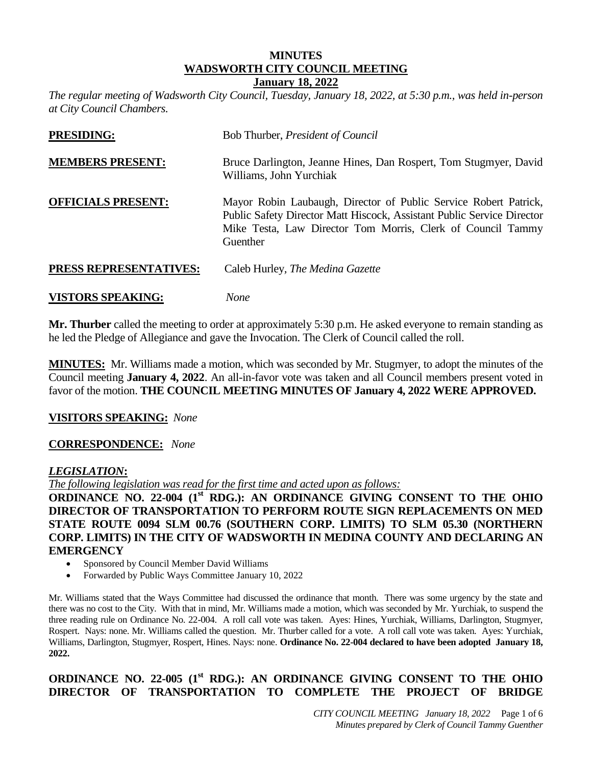# **MINUTES WADSWORTH CITY COUNCIL MEETING**

**January 18, 2022** *The regular meeting of Wadsworth City Council, Tuesday, January 18, 2022, at 5:30 p.m., was held in-person* 

| <b>PRESIDING:</b>         | Bob Thurber, <i>President of Council</i>                                                                                                                                                                              |
|---------------------------|-----------------------------------------------------------------------------------------------------------------------------------------------------------------------------------------------------------------------|
| <b>MEMBERS PRESENT:</b>   | Bruce Darlington, Jeanne Hines, Dan Rospert, Tom Stugmyer, David<br>Williams, John Yurchiak                                                                                                                           |
| <b>OFFICIALS PRESENT:</b> | Mayor Robin Laubaugh, Director of Public Service Robert Patrick,<br>Public Safety Director Matt Hiscock, Assistant Public Service Director<br>Mike Testa, Law Director Tom Morris, Clerk of Council Tammy<br>Guenther |
| PRESS REPRESENTATIVES:    | Caleb Hurley, The Medina Gazette                                                                                                                                                                                      |
|                           |                                                                                                                                                                                                                       |

# **VISTORS SPEAKING:** *None*

**Mr. Thurber** called the meeting to order at approximately 5:30 p.m. He asked everyone to remain standing as he led the Pledge of Allegiance and gave the Invocation. The Clerk of Council called the roll.

**MINUTES:** Mr. Williams made a motion, which was seconded by Mr. Stugmyer, to adopt the minutes of the Council meeting **January 4, 2022**. An all-in-favor vote was taken and all Council members present voted in favor of the motion. **THE COUNCIL MEETING MINUTES OF January 4, 2022 WERE APPROVED.**

#### **VISITORS SPEAKING:** *None*

*at City Council Chambers.* 

#### **CORRESPONDENCE:** *None*

#### *LEGISLATION***:**

*The following legislation was read for the first time and acted upon as follows:*

**ORDINANCE NO. 22-004 (1st RDG.): AN ORDINANCE GIVING CONSENT TO THE OHIO DIRECTOR OF TRANSPORTATION TO PERFORM ROUTE SIGN REPLACEMENTS ON MED STATE ROUTE 0094 SLM 00.76 (SOUTHERN CORP. LIMITS) TO SLM 05.30 (NORTHERN CORP. LIMITS) IN THE CITY OF WADSWORTH IN MEDINA COUNTY AND DECLARING AN EMERGENCY**

- Sponsored by Council Member David Williams
- Forwarded by Public Ways Committee January 10, 2022

Mr. Williams stated that the Ways Committee had discussed the ordinance that month. There was some urgency by the state and there was no cost to the City. With that in mind, Mr. Williams made a motion, which was seconded by Mr. Yurchiak, to suspend the three reading rule on Ordinance No. 22-004. A roll call vote was taken. Ayes: Hines, Yurchiak, Williams, Darlington, Stugmyer, Rospert. Nays: none. Mr. Williams called the question. Mr. Thurber called for a vote. A roll call vote was taken. Ayes: Yurchiak, Williams, Darlington, Stugmyer, Rospert, Hines. Nays: none. **Ordinance No. 22-004 declared to have been adopted January 18, 2022.**

## **ORDINANCE NO. 22-005 (1st RDG.): AN ORDINANCE GIVING CONSENT TO THE OHIO DIRECTOR OF TRANSPORTATION TO COMPLETE THE PROJECT OF BRIDGE**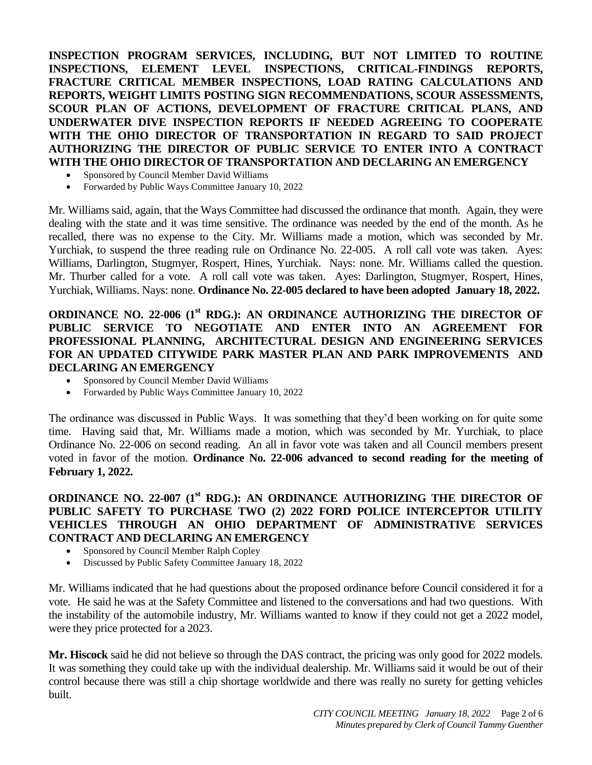**INSPECTION PROGRAM SERVICES, INCLUDING, BUT NOT LIMITED TO ROUTINE INSPECTIONS, ELEMENT LEVEL INSPECTIONS, CRITICAL-FINDINGS REPORTS, FRACTURE CRITICAL MEMBER INSPECTIONS, LOAD RATING CALCULATIONS AND REPORTS, WEIGHT LIMITS POSTING SIGN RECOMMENDATIONS, SCOUR ASSESSMENTS, SCOUR PLAN OF ACTIONS, DEVELOPMENT OF FRACTURE CRITICAL PLANS, AND UNDERWATER DIVE INSPECTION REPORTS IF NEEDED AGREEING TO COOPERATE WITH THE OHIO DIRECTOR OF TRANSPORTATION IN REGARD TO SAID PROJECT AUTHORIZING THE DIRECTOR OF PUBLIC SERVICE TO ENTER INTO A CONTRACT WITH THE OHIO DIRECTOR OF TRANSPORTATION AND DECLARING AN EMERGENCY**

- Sponsored by Council Member David Williams
- Forwarded by Public Ways Committee January 10, 2022

Mr. Williams said, again, that the Ways Committee had discussed the ordinance that month. Again, they were dealing with the state and it was time sensitive. The ordinance was needed by the end of the month. As he recalled, there was no expense to the City. Mr. Williams made a motion, which was seconded by Mr. Yurchiak, to suspend the three reading rule on Ordinance No. 22-005. A roll call vote was taken. Ayes: Williams, Darlington, Stugmyer, Rospert, Hines, Yurchiak. Nays: none. Mr. Williams called the question. Mr. Thurber called for a vote. A roll call vote was taken. Ayes: Darlington, Stugmyer, Rospert, Hines, Yurchiak, Williams. Nays: none. **Ordinance No. 22-005 declared to have been adopted January 18, 2022.**

#### **ORDINANCE NO. 22-006 (1st RDG.): AN ORDINANCE AUTHORIZING THE DIRECTOR OF PUBLIC SERVICE TO NEGOTIATE AND ENTER INTO AN AGREEMENT FOR PROFESSIONAL PLANNING, ARCHITECTURAL DESIGN AND ENGINEERING SERVICES FOR AN UPDATED CITYWIDE PARK MASTER PLAN AND PARK IMPROVEMENTS AND DECLARING AN EMERGENCY**

- Sponsored by Council Member David Williams
- Forwarded by Public Ways Committee January 10, 2022

The ordinance was discussed in Public Ways. It was something that they'd been working on for quite some time. Having said that, Mr. Williams made a motion, which was seconded by Mr. Yurchiak, to place Ordinance No. 22-006 on second reading. An all in favor vote was taken and all Council members present voted in favor of the motion. **Ordinance No. 22-006 advanced to second reading for the meeting of February 1, 2022.**

#### **ORDINANCE NO. 22-007 (1st RDG.): AN ORDINANCE AUTHORIZING THE DIRECTOR OF PUBLIC SAFETY TO PURCHASE TWO (2) 2022 FORD POLICE INTERCEPTOR UTILITY VEHICLES THROUGH AN OHIO DEPARTMENT OF ADMINISTRATIVE SERVICES CONTRACT AND DECLARING AN EMERGENCY**

- Sponsored by Council Member Ralph Copley
- Discussed by Public Safety Committee January 18, 2022

Mr. Williams indicated that he had questions about the proposed ordinance before Council considered it for a vote. He said he was at the Safety Committee and listened to the conversations and had two questions. With the instability of the automobile industry, Mr. Williams wanted to know if they could not get a 2022 model, were they price protected for a 2023.

**Mr. Hiscock** said he did not believe so through the DAS contract, the pricing was only good for 2022 models. It was something they could take up with the individual dealership. Mr. Williams said it would be out of their control because there was still a chip shortage worldwide and there was really no surety for getting vehicles built.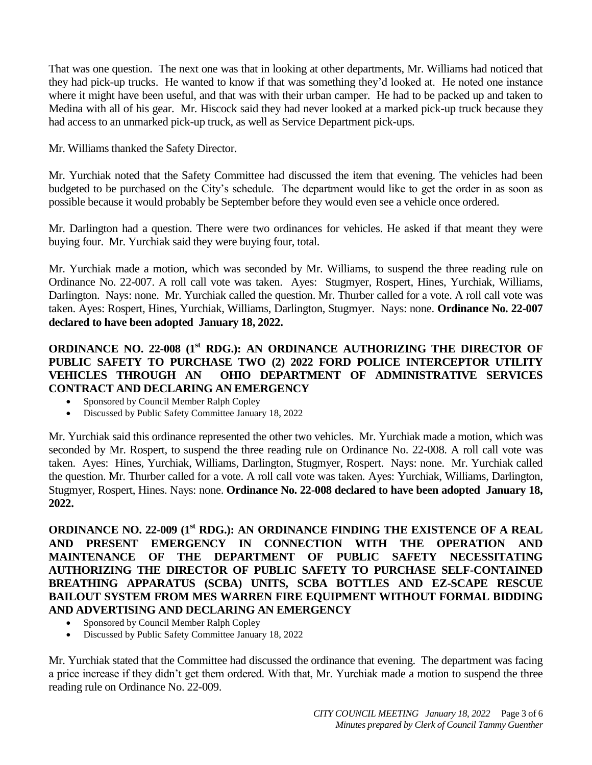That was one question. The next one was that in looking at other departments, Mr. Williams had noticed that they had pick-up trucks. He wanted to know if that was something they'd looked at. He noted one instance where it might have been useful, and that was with their urban camper. He had to be packed up and taken to Medina with all of his gear. Mr. Hiscock said they had never looked at a marked pick-up truck because they had access to an unmarked pick-up truck, as well as Service Department pick-ups.

Mr. Williams thanked the Safety Director.

Mr. Yurchiak noted that the Safety Committee had discussed the item that evening. The vehicles had been budgeted to be purchased on the City's schedule. The department would like to get the order in as soon as possible because it would probably be September before they would even see a vehicle once ordered.

Mr. Darlington had a question. There were two ordinances for vehicles. He asked if that meant they were buying four. Mr. Yurchiak said they were buying four, total.

Mr. Yurchiak made a motion, which was seconded by Mr. Williams, to suspend the three reading rule on Ordinance No. 22-007. A roll call vote was taken. Ayes: Stugmyer, Rospert, Hines, Yurchiak, Williams, Darlington. Nays: none. Mr. Yurchiak called the question. Mr. Thurber called for a vote. A roll call vote was taken. Ayes: Rospert, Hines, Yurchiak, Williams, Darlington, Stugmyer. Nays: none. **Ordinance No. 22-007 declared to have been adopted January 18, 2022.**

#### **ORDINANCE NO. 22-008 (1st RDG.): AN ORDINANCE AUTHORIZING THE DIRECTOR OF PUBLIC SAFETY TO PURCHASE TWO (2) 2022 FORD POLICE INTERCEPTOR UTILITY VEHICLES THROUGH AN OHIO DEPARTMENT OF ADMINISTRATIVE SERVICES CONTRACT AND DECLARING AN EMERGENCY**

- Sponsored by Council Member Ralph Copley
- Discussed by Public Safety Committee January 18, 2022

Mr. Yurchiak said this ordinance represented the other two vehicles. Mr. Yurchiak made a motion, which was seconded by Mr. Rospert, to suspend the three reading rule on Ordinance No. 22-008. A roll call vote was taken. Ayes: Hines, Yurchiak, Williams, Darlington, Stugmyer, Rospert. Nays: none. Mr. Yurchiak called the question. Mr. Thurber called for a vote. A roll call vote was taken. Ayes: Yurchiak, Williams, Darlington, Stugmyer, Rospert, Hines. Nays: none. **Ordinance No. 22-008 declared to have been adopted January 18, 2022.**

**ORDINANCE NO. 22-009 (1st RDG.): AN ORDINANCE FINDING THE EXISTENCE OF A REAL AND PRESENT EMERGENCY IN CONNECTION WITH THE OPERATION AND MAINTENANCE OF THE DEPARTMENT OF PUBLIC SAFETY NECESSITATING AUTHORIZING THE DIRECTOR OF PUBLIC SAFETY TO PURCHASE SELF-CONTAINED BREATHING APPARATUS (SCBA) UNITS, SCBA BOTTLES AND EZ-SCAPE RESCUE BAILOUT SYSTEM FROM MES WARREN FIRE EQUIPMENT WITHOUT FORMAL BIDDING AND ADVERTISING AND DECLARING AN EMERGENCY**

- Sponsored by Council Member Ralph Copley
- Discussed by Public Safety Committee January 18, 2022

Mr. Yurchiak stated that the Committee had discussed the ordinance that evening. The department was facing a price increase if they didn't get them ordered. With that, Mr. Yurchiak made a motion to suspend the three reading rule on Ordinance No. 22-009.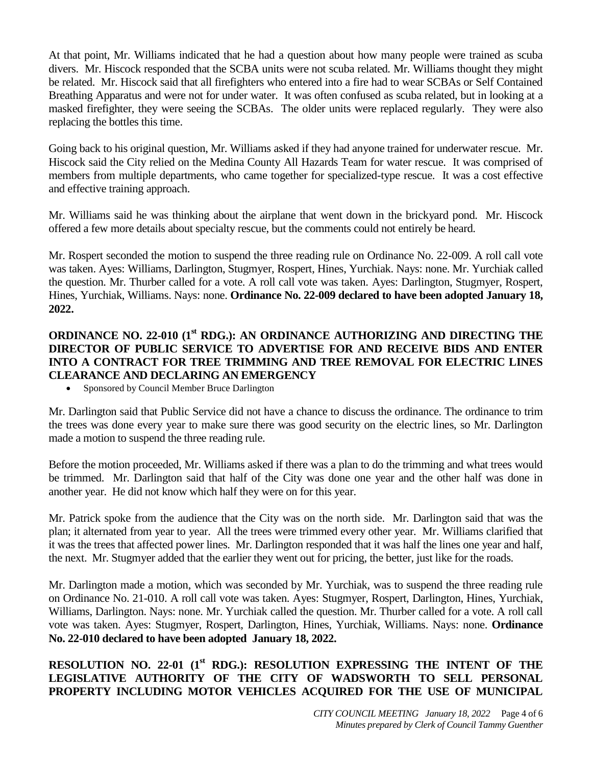At that point, Mr. Williams indicated that he had a question about how many people were trained as scuba divers. Mr. Hiscock responded that the SCBA units were not scuba related. Mr. Williams thought they might be related. Mr. Hiscock said that all firefighters who entered into a fire had to wear SCBAs or Self Contained Breathing Apparatus and were not for under water. It was often confused as scuba related, but in looking at a masked firefighter, they were seeing the SCBAs. The older units were replaced regularly. They were also replacing the bottles this time.

Going back to his original question, Mr. Williams asked if they had anyone trained for underwater rescue. Mr. Hiscock said the City relied on the Medina County All Hazards Team for water rescue. It was comprised of members from multiple departments, who came together for specialized-type rescue. It was a cost effective and effective training approach.

Mr. Williams said he was thinking about the airplane that went down in the brickyard pond. Mr. Hiscock offered a few more details about specialty rescue, but the comments could not entirely be heard.

Mr. Rospert seconded the motion to suspend the three reading rule on Ordinance No. 22-009. A roll call vote was taken. Ayes: Williams, Darlington, Stugmyer, Rospert, Hines, Yurchiak. Nays: none. Mr. Yurchiak called the question. Mr. Thurber called for a vote. A roll call vote was taken. Ayes: Darlington, Stugmyer, Rospert, Hines, Yurchiak, Williams. Nays: none. **Ordinance No. 22-009 declared to have been adopted January 18, 2022.**

#### **ORDINANCE NO. 22-010 (1st RDG.): AN ORDINANCE AUTHORIZING AND DIRECTING THE DIRECTOR OF PUBLIC SERVICE TO ADVERTISE FOR AND RECEIVE BIDS AND ENTER INTO A CONTRACT FOR TREE TRIMMING AND TREE REMOVAL FOR ELECTRIC LINES CLEARANCE AND DECLARING AN EMERGENCY**

• Sponsored by Council Member Bruce Darlington

Mr. Darlington said that Public Service did not have a chance to discuss the ordinance. The ordinance to trim the trees was done every year to make sure there was good security on the electric lines, so Mr. Darlington made a motion to suspend the three reading rule.

Before the motion proceeded, Mr. Williams asked if there was a plan to do the trimming and what trees would be trimmed. Mr. Darlington said that half of the City was done one year and the other half was done in another year. He did not know which half they were on for this year.

Mr. Patrick spoke from the audience that the City was on the north side. Mr. Darlington said that was the plan; it alternated from year to year. All the trees were trimmed every other year. Mr. Williams clarified that it was the trees that affected power lines. Mr. Darlington responded that it was half the lines one year and half, the next. Mr. Stugmyer added that the earlier they went out for pricing, the better, just like for the roads.

Mr. Darlington made a motion, which was seconded by Mr. Yurchiak, was to suspend the three reading rule on Ordinance No. 21-010. A roll call vote was taken. Ayes: Stugmyer, Rospert, Darlington, Hines, Yurchiak, Williams, Darlington. Nays: none. Mr. Yurchiak called the question. Mr. Thurber called for a vote. A roll call vote was taken. Ayes: Stugmyer, Rospert, Darlington, Hines, Yurchiak, Williams. Nays: none. **Ordinance No. 22-010 declared to have been adopted January 18, 2022.**

### **RESOLUTION NO. 22-01 (1st RDG.): RESOLUTION EXPRESSING THE INTENT OF THE LEGISLATIVE AUTHORITY OF THE CITY OF WADSWORTH TO SELL PERSONAL PROPERTY INCLUDING MOTOR VEHICLES ACQUIRED FOR THE USE OF MUNICIPAL**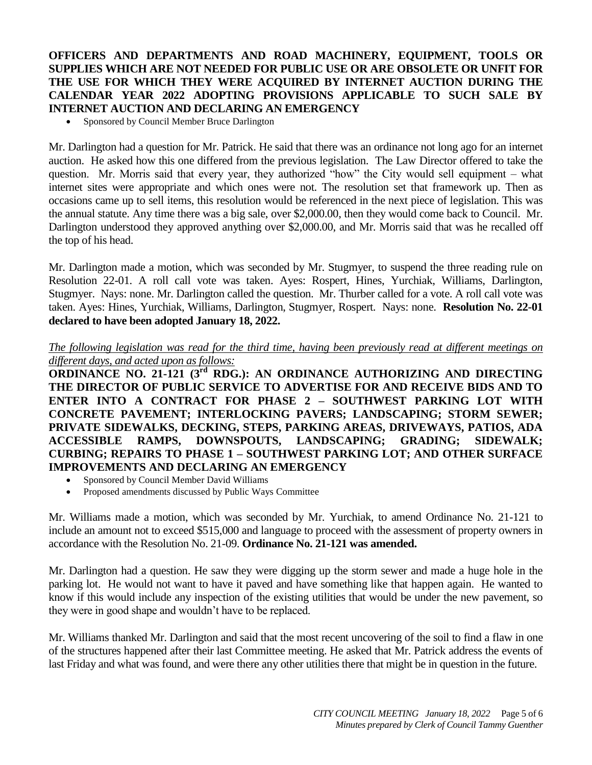#### **OFFICERS AND DEPARTMENTS AND ROAD MACHINERY, EQUIPMENT, TOOLS OR SUPPLIES WHICH ARE NOT NEEDED FOR PUBLIC USE OR ARE OBSOLETE OR UNFIT FOR THE USE FOR WHICH THEY WERE ACQUIRED BY INTERNET AUCTION DURING THE CALENDAR YEAR 2022 ADOPTING PROVISIONS APPLICABLE TO SUCH SALE BY INTERNET AUCTION AND DECLARING AN EMERGENCY**

Sponsored by Council Member Bruce Darlington

Mr. Darlington had a question for Mr. Patrick. He said that there was an ordinance not long ago for an internet auction. He asked how this one differed from the previous legislation. The Law Director offered to take the question. Mr. Morris said that every year, they authorized "how" the City would sell equipment – what internet sites were appropriate and which ones were not. The resolution set that framework up. Then as occasions came up to sell items, this resolution would be referenced in the next piece of legislation. This was the annual statute. Any time there was a big sale, over \$2,000.00, then they would come back to Council. Mr. Darlington understood they approved anything over \$2,000.00, and Mr. Morris said that was he recalled off the top of his head.

Mr. Darlington made a motion, which was seconded by Mr. Stugmyer, to suspend the three reading rule on Resolution 22-01. A roll call vote was taken. Ayes: Rospert, Hines, Yurchiak, Williams, Darlington, Stugmyer. Nays: none. Mr. Darlington called the question. Mr. Thurber called for a vote. A roll call vote was taken. Ayes: Hines, Yurchiak, Williams, Darlington, Stugmyer, Rospert. Nays: none. **Resolution No. 22-01 declared to have been adopted January 18, 2022.**

*The following legislation was read for the third time, having been previously read at different meetings on different days, and acted upon as follows:* 

**ORDINANCE NO. 21-121 (3<sup>rd</sup> RDG.): AN ORDINANCE AUTHORIZING AND DIRECTING THE DIRECTOR OF PUBLIC SERVICE TO ADVERTISE FOR AND RECEIVE BIDS AND TO ENTER INTO A CONTRACT FOR PHASE 2 – SOUTHWEST PARKING LOT WITH CONCRETE PAVEMENT; INTERLOCKING PAVERS; LANDSCAPING; STORM SEWER; PRIVATE SIDEWALKS, DECKING, STEPS, PARKING AREAS, DRIVEWAYS, PATIOS, ADA ACCESSIBLE RAMPS, DOWNSPOUTS, LANDSCAPING; GRADING; SIDEWALK; CURBING; REPAIRS TO PHASE 1 – SOUTHWEST PARKING LOT; AND OTHER SURFACE IMPROVEMENTS AND DECLARING AN EMERGENCY**

- Sponsored by Council Member David Williams
- Proposed amendments discussed by Public Ways Committee

Mr. Williams made a motion, which was seconded by Mr. Yurchiak, to amend Ordinance No. 21-121 to include an amount not to exceed \$515,000 and language to proceed with the assessment of property owners in accordance with the Resolution No. 21-09. **Ordinance No. 21-121 was amended.** 

Mr. Darlington had a question. He saw they were digging up the storm sewer and made a huge hole in the parking lot. He would not want to have it paved and have something like that happen again. He wanted to know if this would include any inspection of the existing utilities that would be under the new pavement, so they were in good shape and wouldn't have to be replaced.

Mr. Williams thanked Mr. Darlington and said that the most recent uncovering of the soil to find a flaw in one of the structures happened after their last Committee meeting. He asked that Mr. Patrick address the events of last Friday and what was found, and were there any other utilities there that might be in question in the future.